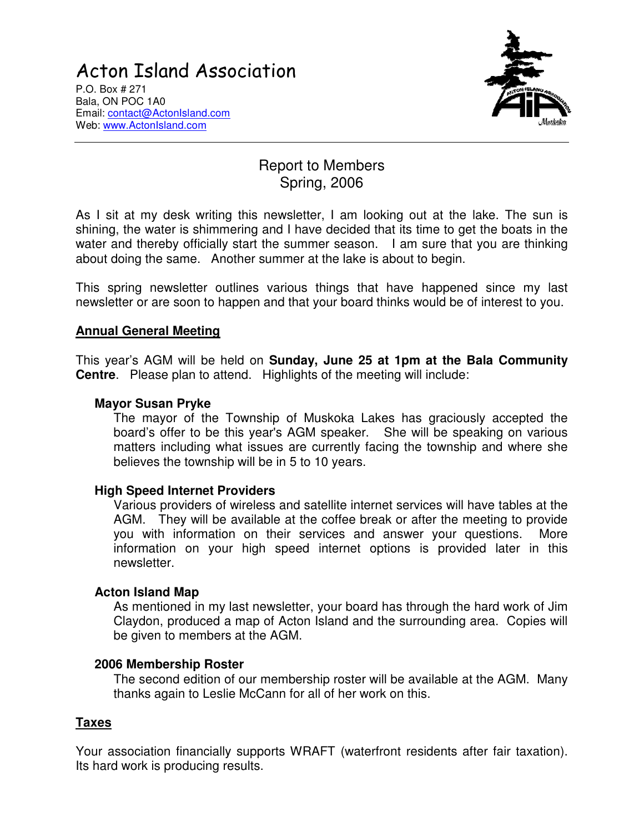# **Acton Island Association**



P.O. Box # 271 Bala, ON POC 1A0 Email: contact@ActonIsland.com Web: www.ActonIsland.com

# Report to Members Spring, 2006

As I sit at my desk writing this newsletter, I am looking out at the lake. The sun is shining, the water is shimmering and I have decided that its time to get the boats in the water and thereby officially start the summer season. I am sure that you are thinking about doing the same. Another summer at the lake is about to begin.

This spring newsletter outlines various things that have happened since my last newsletter or are soon to happen and that your board thinks would be of interest to you.

# **Annual General Meeting**

This year's AGM will be held on **Sunday, June 25 at 1pm at the Bala Community Centre**. Please plan to attend. Highlights of the meeting will include:

#### **Mayor Susan Pryke**

The mayor of the Township of Muskoka Lakes has graciously accepted the board's offer to be this year's AGM speaker. She will be speaking on various matters including what issues are currently facing the township and where she believes the township will be in 5 to 10 years.

#### **High Speed Internet Providers**

Various providers of wireless and satellite internet services will have tables at the AGM. They will be available at the coffee break or after the meeting to provide you with information on their services and answer your questions. More information on your high speed internet options is provided later in this newsletter.

#### **Acton Island Map**

As mentioned in my last newsletter, your board has through the hard work of Jim Claydon, produced a map of Acton Island and the surrounding area. Copies will be given to members at the AGM.

#### **2006 Membership Roster**

The second edition of our membership roster will be available at the AGM. Many thanks again to Leslie McCann for all of her work on this.

# **Taxes**

Your association financially supports WRAFT (waterfront residents after fair taxation). Its hard work is producing results.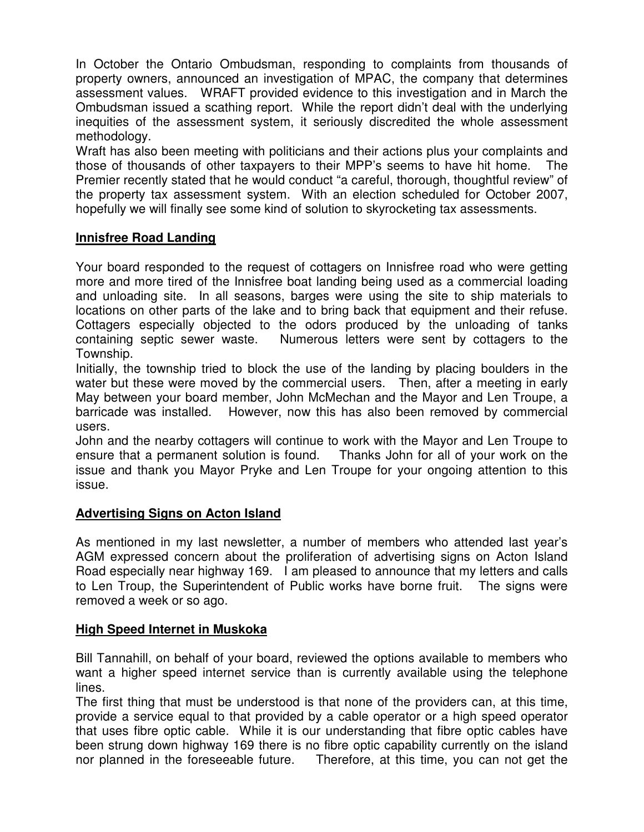In October the Ontario Ombudsman, responding to complaints from thousands of property owners, announced an investigation of MPAC, the company that determines assessment values. WRAFT provided evidence to this investigation and in March the Ombudsman issued a scathing report. While the report didn't deal with the underlying inequities of the assessment system, it seriously discredited the whole assessment methodology.

Wraft has also been meeting with politicians and their actions plus your complaints and those of thousands of other taxpayers to their MPP's seems to have hit home. The Premier recently stated that he would conduct "a careful, thorough, thoughtful review" of the property tax assessment system. With an election scheduled for October 2007, hopefully we will finally see some kind of solution to skyrocketing tax assessments.

# **Innisfree Road Landing**

Your board responded to the request of cottagers on Innisfree road who were getting more and more tired of the Innisfree boat landing being used as a commercial loading and unloading site. In all seasons, barges were using the site to ship materials to locations on other parts of the lake and to bring back that equipment and their refuse. Cottagers especially objected to the odors produced by the unloading of tanks containing septic sewer waste. Numerous letters were sent by cottagers to the Township.

Initially, the township tried to block the use of the landing by placing boulders in the water but these were moved by the commercial users. Then, after a meeting in early May between your board member, John McMechan and the Mayor and Len Troupe, a barricade was installed. However, now this has also been removed by commercial users.

John and the nearby cottagers will continue to work with the Mayor and Len Troupe to ensure that a permanent solution is found. Thanks John for all of your work on the issue and thank you Mayor Pryke and Len Troupe for your ongoing attention to this issue.

# **Advertising Signs on Acton Island**

As mentioned in my last newsletter, a number of members who attended last year's AGM expressed concern about the proliferation of advertising signs on Acton Island Road especially near highway 169. I am pleased to announce that my letters and calls to Len Troup, the Superintendent of Public works have borne fruit. The signs were removed a week or so ago.

# **High Speed Internet in Muskoka**

Bill Tannahill, on behalf of your board, reviewed the options available to members who want a higher speed internet service than is currently available using the telephone lines.

The first thing that must be understood is that none of the providers can, at this time, provide a service equal to that provided by a cable operator or a high speed operator that uses fibre optic cable. While it is our understanding that fibre optic cables have been strung down highway 169 there is no fibre optic capability currently on the island nor planned in the foreseeable future. Therefore, at this time, you can not get the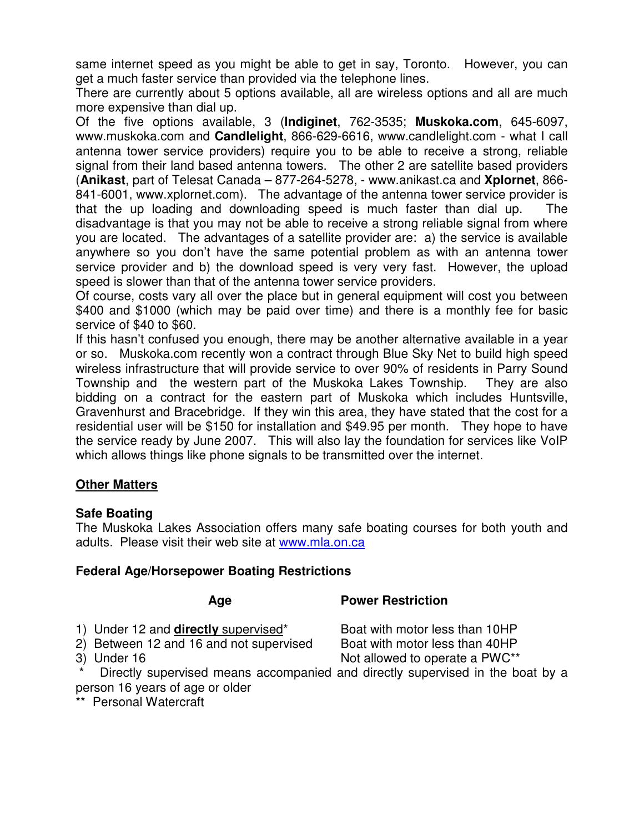same internet speed as you might be able to get in say, Toronto. However, you can get a much faster service than provided via the telephone lines.

There are currently about 5 options available, all are wireless options and all are much more expensive than dial up.

Of the five options available, 3 (**Indiginet**, 762-3535; **Muskoka.com**, 645-6097, www.muskoka.com and **Candlelight**, 866-629-6616, www.candlelight.com - what I call antenna tower service providers) require you to be able to receive a strong, reliable signal from their land based antenna towers. The other 2 are satellite based providers (**Anikast**, part of Telesat Canada – 877-264-5278, - www.anikast.ca and **Xplornet**, 866- 841-6001, www.xplornet.com). The advantage of the antenna tower service provider is that the up loading and downloading speed is much faster than dial up. The disadvantage is that you may not be able to receive a strong reliable signal from where you are located. The advantages of a satellite provider are: a) the service is available anywhere so you don't have the same potential problem as with an antenna tower service provider and b) the download speed is very very fast. However, the upload speed is slower than that of the antenna tower service providers.

Of course, costs vary all over the place but in general equipment will cost you between \$400 and \$1000 (which may be paid over time) and there is a monthly fee for basic service of \$40 to \$60.

If this hasn't confused you enough, there may be another alternative available in a year or so. Muskoka.com recently won a contract through Blue Sky Net to build high speed wireless infrastructure that will provide service to over 90% of residents in Parry Sound Township and the western part of the Muskoka Lakes Township. They are also bidding on a contract for the eastern part of Muskoka which includes Huntsville, Gravenhurst and Bracebridge. If they win this area, they have stated that the cost for a residential user will be \$150 for installation and \$49.95 per month. They hope to have the service ready by June 2007. This will also lay the foundation for services like VoIP which allows things like phone signals to be transmitted over the internet.

# **Other Matters**

# **Safe Boating**

The Muskoka Lakes Association offers many safe boating courses for both youth and adults. Please visit their web site at www.mla.on.ca

# **Federal Age/Horsepower Boating Restrictions**

# **Age Power Restriction**

- 
- 2) Between 12 and 16 and not supervised

1) Under 12 and **directly** supervised<sup>\*</sup> Boat with motor less than 10HP<br>2) Between 12 and 16 and not supervised Boat with motor less than 40HP 3) Under 16 Not allowed to operate a PWC\*\*

Directly supervised means accompanied and directly supervised in the boat by a person 16 years of age or older

\*\* Personal Watercraft